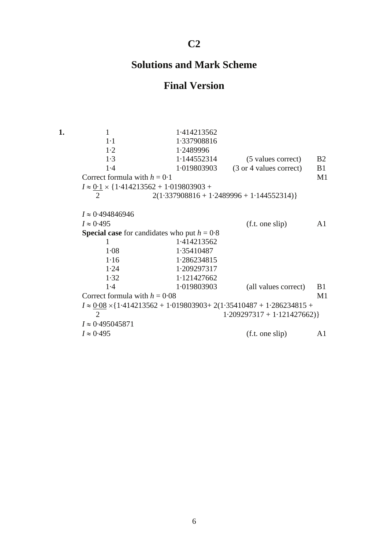## **C2**

## **Solutions and Mark Scheme**

## **Final Version**

**1.** 1 1 1·414213562 1·1 1·337908816 1·2 1·2489996 1·3 1·144552314 (5 values correct) B2 1·4 1·019803903 (3 or 4 values correct) B1 Correct formula with  $h = 0.1$  M1  $I \approx 0.1 \times \{1.414213562 + 1.019803903 +$ 2  $2(1.337908816 + 1.2489996 + 1.144552314)$ *I* ≈ 0·494846946  $I \approx 0.495$  (f.t. one slip) A1 **Special case** for candidates who put  $h = 0.8$ 1 1.414213562 1·08 1·35410487 1·16 1·286234815 1·24 1·209297317 1·32 1·121427662 1·4 1·019803903 (all values correct) B1 Correct formula with  $h = 0.08$  M1  $I \approx 0.08 \times \{1.414213562 + 1.019803903 + 2(1.35410487 + 1.286234815 +$ 2  $1.209297317 + 1.121427662$ *I* ≈ 0·495045871  $I \approx 0.495$  (f.t. one slip) A1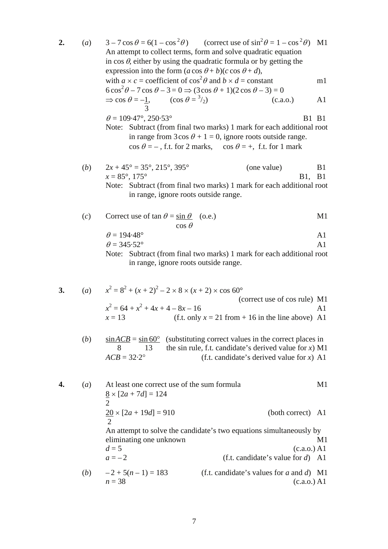- **2.** (*a*)  $3-7\cos\theta = 6(1-\cos^2\theta)$  (correct use of  $\sin^2\theta = 1-\cos^2\theta$ ) M1 An attempt to collect terms, form and solve quadratic equation in  $\cos \theta$ , either by using the quadratic formula or by getting the expression into the form  $(a \cos \theta + b)(c \cos \theta + d)$ , with  $a \times c$  = coefficient of  $\cos^2 \theta$  and  $b \times d$  = constant m1  $6\cos^2\theta - 7\cos\theta - 3 = 0 \Rightarrow (3\cos\theta + 1)(2\cos\theta - 3) = 0$  $\Rightarrow$  cos  $\theta = -1$ , (cos  $\theta = \frac{3}{2}$ )  $(c.a.0.)$  A1 3  $\theta = 109.47^{\circ}, 250.53^{\circ}$  B1 B1 Note: Subtract (from final two marks) 1 mark for each additional root in range from  $3\cos\theta + 1 = 0$ , ignore roots outside range.  $\cos \theta = -$ , f.t. for 2 marks,  $\cos \theta = +$ , f.t. for 1 mark
	- (*b*)  $2x + 45^{\circ} = 35^{\circ}, 215^{\circ}, 395^{\circ}$  (one value) B1  $x = 85^\circ, 175^\circ$  B1, B1 Note: Subtract (from final two marks) 1 mark for each additional root in range, ignore roots outside range.
	- (*c*) Correct use of tan  $\theta = \sin \theta$  (o.e.) M1 cos θ

$$
\theta = 194.48^{\circ}
$$

$$
\theta = 345.52^{\circ}
$$

Note: Subtract (from final two marks) 1 mark for each additional root in range, ignore roots outside range.

3. (a) 
$$
x^2 = 8^2 + (x + 2)^2 - 2 \times 8 \times (x + 2) \times \cos 60^\circ
$$
  
\n(correct use of cos rule) M1  
\n $x^2 = 64 + x^2 + 4x + 4 - 8x - 16$   
\n $x = 13$  (f.t. only  $x = 21$  from + 16 in the line above) A1  
\n(b)  $\sin ACB = \sin 60^\circ$  (substituting correct values in the correct places in

(b) 
$$
\frac{\sin ACB}{8} = \frac{\sin 60^{\circ}}{13}
$$
 (substituting correct values in the correct places in  
the sin rule, f.t. candidate's derived value for x) M1  
(f.t. candidate's derived value for x) A1  
(f.t. candidate's derived value for x) A1

**4.** (*a*) At least one correct use of the sum formula M1  $8 \times [2a + 7d] = 124$  $\mathcal{D}_{\mathcal{L}}$  $20 \times [2a + 19d] = 910$  (both correct) A1 2 An attempt to solve the candidate's two equations simultaneously by eliminating one unknown M1  $d = 5$  (c.a.o.) A1  $a = -2$  (f.t. candidate's value for *d*) A1 (*b*)  $-2 + 5(n-1) = 183$  (f.t. candidate's values for *a* and *d*) M1  $n = 38$  (c.a.o.) A1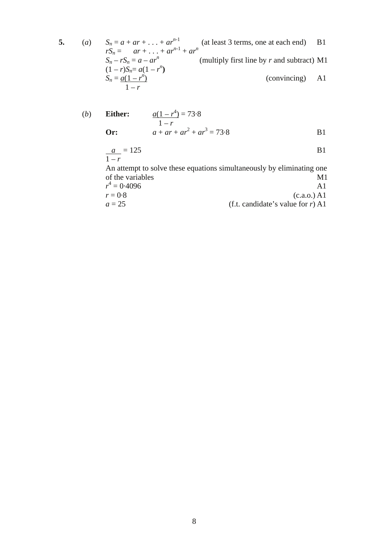**5.** (*a*)  $S_n = a + ar + ... + ar^{n-1}$  (at least 3 terms, one at each end) B1  $rS_n = ar + ... + ar^{n-1} + ar^n$  $S_n - rS_n = a - ar^n$  (multiply first line by *r* and subtract) M1  $(1 - r)S_n = a(1 - r^n)$  $S_n = \frac{a(1 - r^n)}{n}$ ) (convincing) A1  $1-r$ 

(b) Either: 
$$
\frac{a(1 - r^4)}{1 - r} = 73.8
$$
  
Or: 
$$
a + ar + ar^2 + ar^3 = 73.8
$$
 B1

$$
\frac{a}{1-r} = 125
$$
 B1

An attempt to solve these equations simultaneously by eliminating one of the variables M1

$$
r^4 = 0.4096
$$
 A1  
\n $r = 0.8$  (c.a.o.) A1  
\n $a = 25$  (f.t. candidate's value for r) A1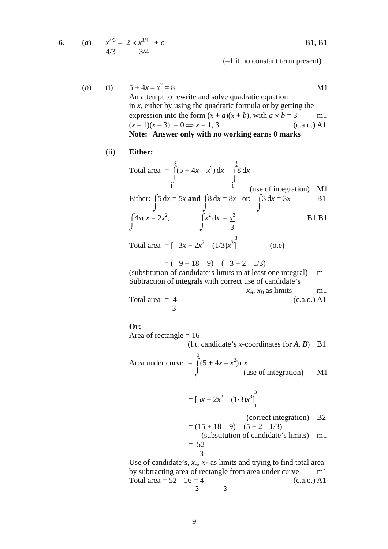6. (a) 
$$
\frac{x^{4/3}}{4/3} - 2 \times \frac{x^{3/4}}{3/4} + c
$$
 B1, B1

(*b*) (i)  $5 + 4x - x^2$  $= 8$  M1 An attempt to rewrite and solve quadratic equation in *x*, either by using the quadratic formula or by getting the expression into the form  $(x + a)(x + b)$ , with  $a \times b = 3$  m1  $(x-1)(x-3) = 0 \implies x = 1, 3$  (c.a.o.) A1 **Note: Answer only with no working earns 0 marks** 

(–1 if no constant term present)

(ii) **Either:**

 3 3 Total area =  $\int (5 + 4x - x^2) dx - \int 8 dx$  $\bigcup$ <sup>1</sup> (use of integration) M1 Either:  $\int 5 dx = 5x$  and  $\int 8 dx = 8x$  or:  $\int 3 dx = 3x$  B1  $J \qquad \qquad J \qquad \qquad J$  $\int 4x dx = 2x^2$ ,  $\int x^2 dx = \frac{x^3}{2}$  B1 B1  $J \t 3$ 3

Total area =  $[-3x + 2x^2 - (1/3)x^3]$  $(0.e)$ 1<sup>1</sup> 1<sup>1</sup> 1<sup>1</sup>

 $= (-9 + 18 - 9) - (-3 + 2 - 1/3)$ 

(substitution of candidate's limits in at least one integral) m1 Subtraction of integrals with correct use of candidate's  $x_A, x_B$  as limits m1 Total area =  $\frac{4}{ }$  (c.a.o.) A1

$$
3\quad
$$

**Or:**

Area of rectangle  $= 16$ 

(f.t. candidate's *x*-coordinates for *A*, *B*) B1

Area under curve 
$$
=\int_{1}^{3} (5 + 4x - x^2) dx
$$
 (use of integration) M1

$$
= [5x + 2x2 - (1/3)x3]13
$$

$$
(\text{correct integration}) \quad \text{B2}
$$
\n
$$
= (15 + 18 - 9) - (5 + 2 - 1/3)
$$
\n
$$
(\text{substitution of candidate's limits}) \quad \text{m1}
$$
\n
$$
= \frac{52}{3}
$$

Use of candidate's,  $x_A$ ,  $x_B$  as limits and trying to find total area by subtracting area of rectangle from area under curve m1 Total area =  $\frac{52 - 16 = 4}{4}$  (c.a.o.) A1 3 3

**6.** (*a*) *x*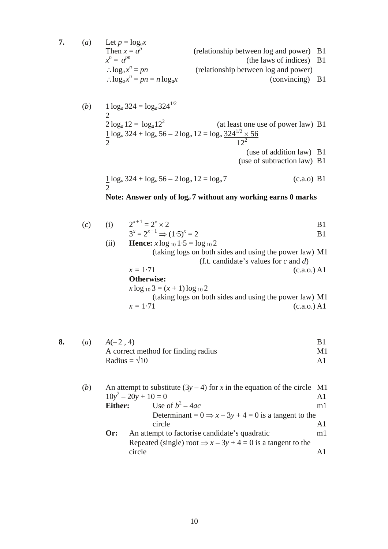**7.** (*a*) Let  $p = \log_a x$ Then  $x = a^p$  (relationship between log and power) B1 *x n* (the laws of indices) B1 ∴ $log_a x^n$ (relationship between log and power) ∴ $log_a x^n$ (convincing) B1

(b) 
$$
\frac{1}{2} \log_a 324 = \log_a 324^{1/2}
$$
  
\n $2 \log_a 12 = \log_a 12^2$  (at least one use of power law) B1  
\n $\frac{1}{2} \log_a 324 + \log_a 56 - 2 \log_a 12 = \log_a \frac{324^{1/2} \times 56}{12^2}$   
\n(use of addition law) B1  
\n(use of subtraction law) B1

$$
\frac{1}{2}\log_a 324 + \log_a 56 - 2\log_a 12 = \log_a 7
$$
 (c.a.o) B1

## **Note: Answer only of log***a* **7 without any working earns 0 marks**

| (c) | (i)  | $2^{x+1} = 2^x \times 2$                               | B1                                         |
|-----|------|--------------------------------------------------------|--------------------------------------------|
|     |      | $3^x = 2^{x+1} \implies (1.5)^x = 2$                   | B1                                         |
|     | (11) | <b>Hence:</b> $x \log_{10} 1.5 = \log_{10} 2$          |                                            |
|     |      | (taking logs on both sides and using the power law) M1 |                                            |
|     |      |                                                        | (f.t. candidate's values for $c$ and $d$ ) |
|     |      | $x = 1.71$                                             | (c.a.o.) A1                                |
|     |      | <b>Otherwise:</b>                                      |                                            |
|     |      | $x \log_{10} 3 = (x + 1) \log_{10} 2$                  |                                            |

$$
x \log_{10} 5 = (x + 1) \log_{10} 2
$$
  
(taking logs on both sides and using the power law) M1  
 $x = 1.71$  (c.a.o.) A1

| (a) | $A(-2, 4)$                          |    |
|-----|-------------------------------------|----|
|     | A correct method for finding radius | M1 |
|     | Radius = $\sqrt{10}$                |    |

| (b) | An attempt to substitute $(3y - 4)$ for x in the equation of the circle M1 |                                                                           |    |
|-----|----------------------------------------------------------------------------|---------------------------------------------------------------------------|----|
|     | $10y^2 - 20y + 10 = 0$                                                     |                                                                           | A1 |
|     | Either:                                                                    | Use of $b^2-4ac$                                                          | m1 |
|     |                                                                            | Determinant = $0 \Rightarrow x - 3y + 4 = 0$ is a tangent to the          |    |
|     |                                                                            | circle                                                                    | A1 |
|     | Or:                                                                        | An attempt to factorise candidate's quadratic                             | ml |
|     |                                                                            | Repeated (single) root $\Rightarrow$ $x - 3y + 4 = 0$ is a tangent to the |    |
|     |                                                                            | circle                                                                    |    |